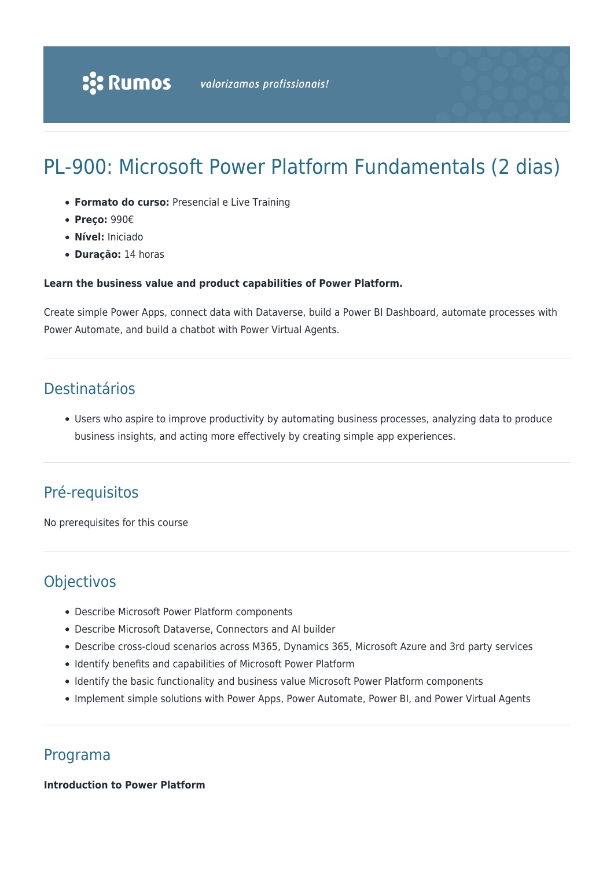# PL-900: Microsoft Power Platform Fundamentals (2 dias)

- **Formato do curso:** Presencial e Live Training
- **Preço:** 990€
- **Nível:** Iniciado
- **Duração:** 14 horas

#### **Learn the business value and product capabilities of Power Platform.**

Create simple Power Apps, connect data with Dataverse, build a Power BI Dashboard, automate processes with Power Automate, and build a chatbot with Power Virtual Agents.

# Destinatários

Users who aspire to improve productivity by automating business processes, analyzing data to produce business insights, and acting more effectively by creating simple app experiences.

# Pré-requisitos

No prerequisites for this course

# **Objectivos**

- Describe Microsoft Power Platform components
- Describe Microsoft Dataverse, Connectors and AI builder
- Describe cross-cloud scenarios across M365, Dynamics 365, Microsoft Azure and 3rd party services
- Identify benefits and capabilities of Microsoft Power Platform
- Identify the basic functionality and business value Microsoft Power Platform components
- Implement simple solutions with Power Apps, Power Automate, Power BI, and Power Virtual Agents

# Programa

**Introduction to Power Platform**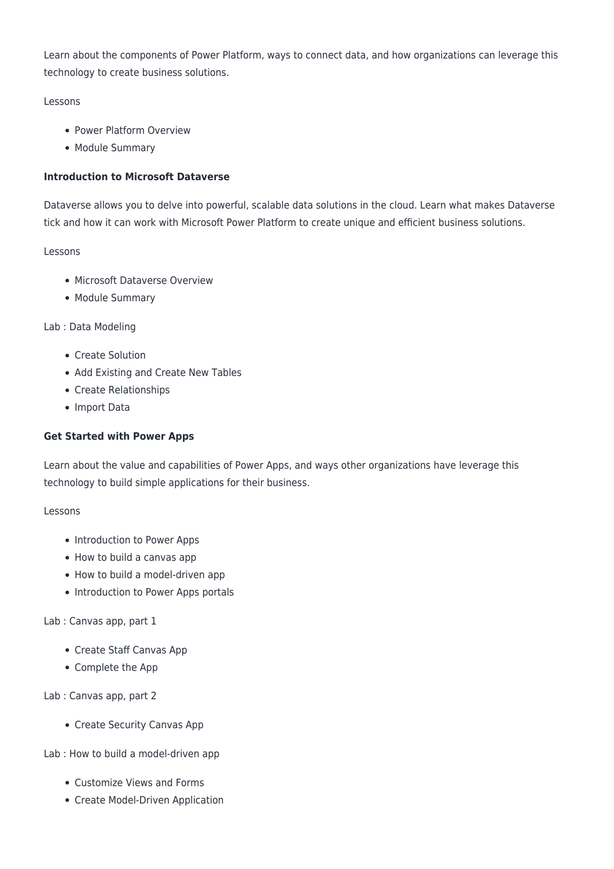Learn about the components of Power Platform, ways to connect data, and how organizations can leverage this technology to create business solutions.

# Lessons

- Power Platform Overview
- Module Summary

## **Introduction to Microsoft Dataverse**

Dataverse allows you to delve into powerful, scalable data solutions in the cloud. Learn what makes Dataverse tick and how it can work with Microsoft Power Platform to create unique and efficient business solutions.

# Lessons

- Microsoft Dataverse Overview
- Module Summary

# Lab : Data Modeling

- Create Solution
- Add Existing and Create New Tables
- Create Relationships
- Import Data

## **Get Started with Power Apps**

Learn about the value and capabilities of Power Apps, and ways other organizations have leverage this technology to build simple applications for their business.

### Lessons

- Introduction to Power Apps
- How to build a canvas app
- How to build a model-driven app
- Introduction to Power Apps portals

### Lab : Canvas app, part 1

- Create Staff Canvas App
- Complete the App

Lab : Canvas app, part 2

• Create Security Canvas App

Lab : How to build a model-driven app

- Customize Views and Forms
- Create Model-Driven Application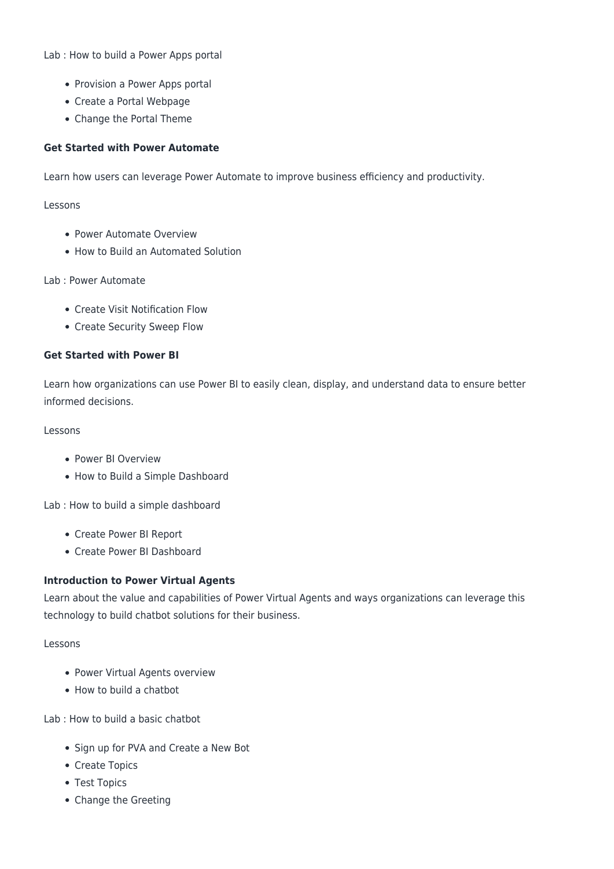Lab : How to build a Power Apps portal

- Provision a Power Apps portal
- Create a Portal Webpage
- Change the Portal Theme

#### **Get Started with Power Automate**

Learn how users can leverage Power Automate to improve business efficiency and productivity.

Lessons

- Power Automate Overview
- How to Build an Automated Solution

#### Lab : Power Automate

- Create Visit Notification Flow
- Create Security Sweep Flow

#### **Get Started with Power BI**

Learn how organizations can use Power BI to easily clean, display, and understand data to ensure better informed decisions.

#### Lessons

- Power BI Overview
- How to Build a Simple Dashboard

Lab : How to build a simple dashboard

- Create Power BI Report
- Create Power BI Dashboard

#### **Introduction to Power Virtual Agents**

Learn about the value and capabilities of Power Virtual Agents and ways organizations can leverage this technology to build chatbot solutions for their business.

#### Lessons

- Power Virtual Agents overview
- How to build a chatbot

Lab : How to build a basic chatbot

- Sign up for PVA and Create a New Bot
- Create Topics
- Test Topics
- Change the Greeting